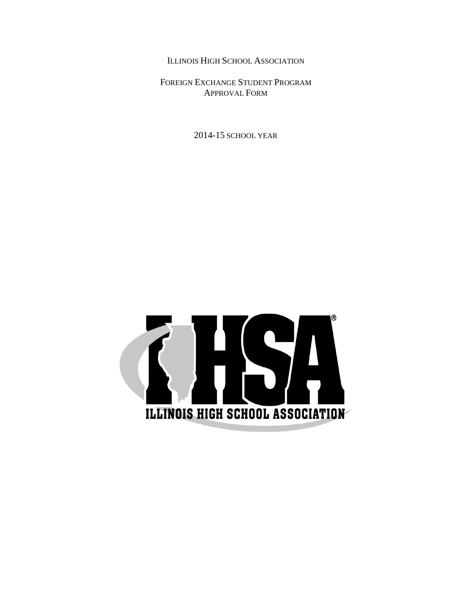ILLINOIS HIGH SCHOOL ASSOCIATION

FOREIGN EXCHANGE STUDENT PROGRAM APPROVAL FORM

2014-15 SCHOOL YEAR

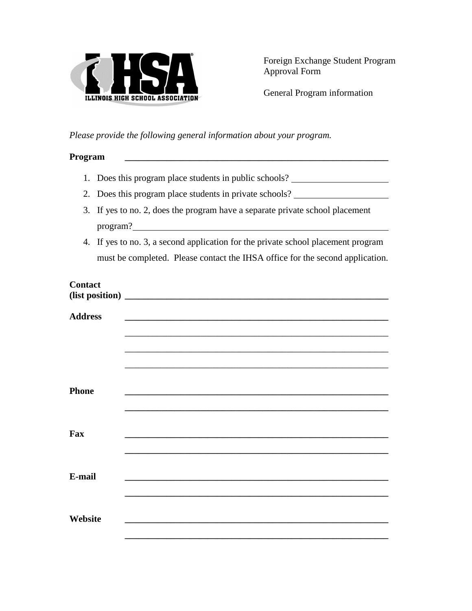

General Program information

*Please provide the following general information about your program.*

## **Program \_\_\_\_\_\_\_\_\_\_\_\_\_\_\_\_\_\_\_\_\_\_\_\_\_\_\_\_\_\_\_\_\_\_\_\_\_\_\_\_\_\_\_\_\_\_\_\_\_\_\_\_\_\_\_\_\_**

- 1. Does this program place students in public schools?
- 2. Does this program place students in private schools?
- 3. If yes to no. 2, does the program have a separate private school placement program?
- 4. If yes to no. 3, a second application for the private school placement program must be completed. Please contact the IHSA office for the second application.

## **Contact**

| <b>Address</b> |                                                                                   |
|----------------|-----------------------------------------------------------------------------------|
|                |                                                                                   |
|                | ,我们也不能在这里的时候,我们也不能在这里的时候,我们也不能会在这里的时候,我们也不能会在这里的时候,我们也不能会在这里的时候,我们也不能会在这里的时候,我们也不 |
|                |                                                                                   |
|                |                                                                                   |
|                |                                                                                   |
|                |                                                                                   |
|                |                                                                                   |
| <b>Phone</b>   |                                                                                   |
|                |                                                                                   |
|                |                                                                                   |
|                |                                                                                   |
| Fax            |                                                                                   |
|                |                                                                                   |
|                |                                                                                   |
|                |                                                                                   |
| E-mail         |                                                                                   |
|                |                                                                                   |
|                |                                                                                   |
|                |                                                                                   |
|                |                                                                                   |
| Website        |                                                                                   |
|                |                                                                                   |
|                |                                                                                   |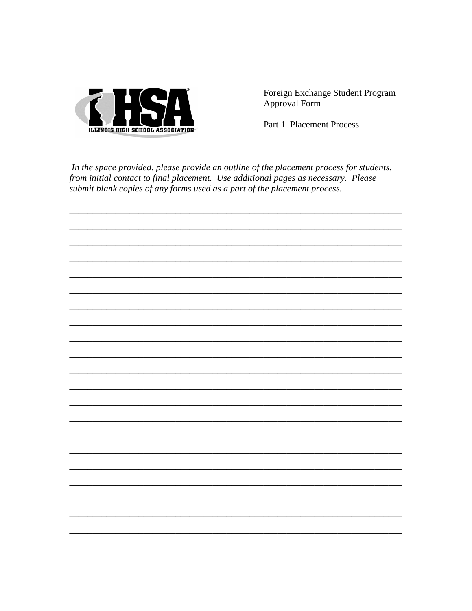

Part 1 Placement Process

In the space provided, please provide an outline of the placement process for students, from initial contact to final placement. Use additional pages as necessary. Please submit blank copies of any forms used as a part of the placement process.

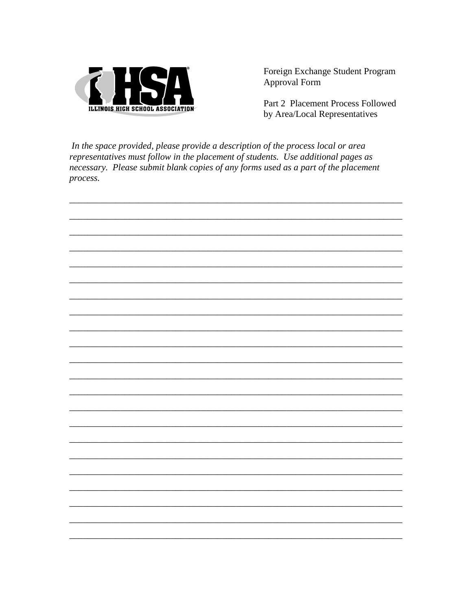

Part 2 Placement Process Followed by Area/Local Representatives

In the space provided, please provide a description of the process local or area representatives must follow in the placement of students. Use additional pages as necessary. Please submit blank copies of any forms used as a part of the placement process.

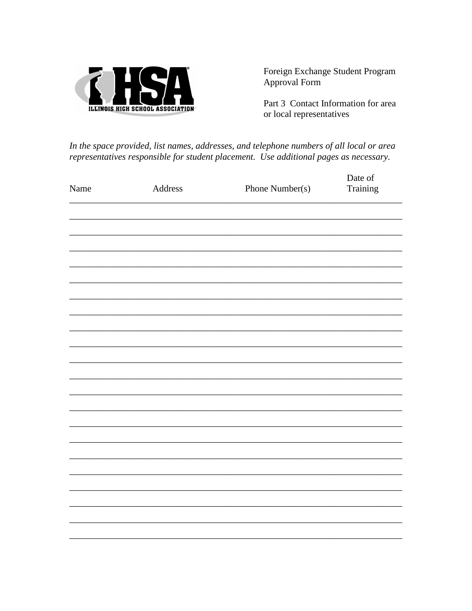

Part 3 Contact Information for area or local representatives

In the space provided, list names, addresses, and telephone numbers of all local or area representatives responsible for student placement. Use additional pages as necessary.

|      |         |                 | Date of  |  |
|------|---------|-----------------|----------|--|
| Name | Address | Phone Number(s) | Training |  |
|      |         |                 |          |  |
|      |         |                 |          |  |
|      |         |                 |          |  |
|      |         |                 |          |  |
|      |         |                 |          |  |
|      |         |                 |          |  |
|      |         |                 |          |  |
|      |         |                 |          |  |
|      |         |                 |          |  |
|      |         |                 |          |  |
|      |         |                 |          |  |
|      |         |                 |          |  |
|      |         |                 |          |  |
|      |         |                 |          |  |
|      |         |                 |          |  |
|      |         |                 |          |  |
|      |         |                 |          |  |
|      |         |                 |          |  |
|      |         |                 |          |  |
|      |         |                 |          |  |
|      |         |                 |          |  |
|      |         |                 |          |  |
|      |         |                 |          |  |
|      |         |                 |          |  |
|      |         |                 |          |  |
|      |         |                 |          |  |
|      |         |                 |          |  |
|      |         |                 |          |  |
|      |         |                 |          |  |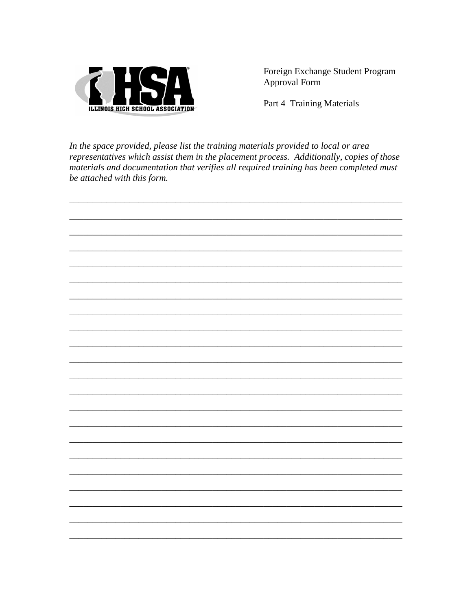

Part 4 Training Materials

In the space provided, please list the training materials provided to local or area representatives which assist them in the placement process. Additionally, copies of those materials and documentation that verifies all required training has been completed must be attached with this form.

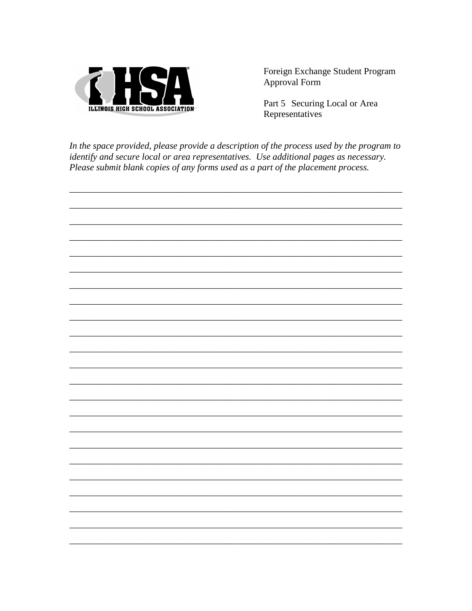

Part 5 Securing Local or Area Representatives

In the space provided, please provide a description of the process used by the program to identify and secure local or area representatives. Use additional pages as necessary. Please submit blank copies of any forms used as a part of the placement process.

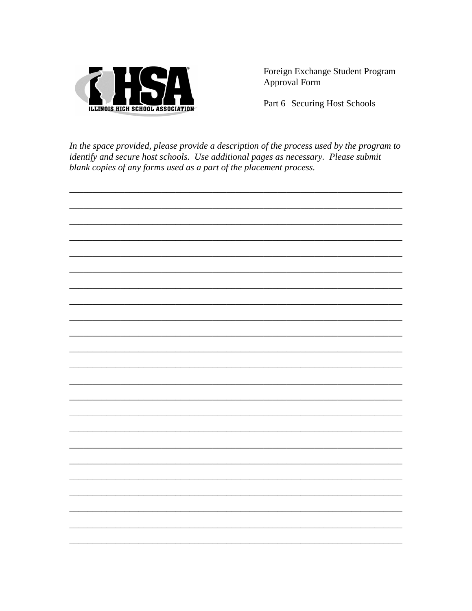

Part 6 Securing Host Schools

In the space provided, please provide a description of the process used by the program to identify and secure host schools. Use additional pages as necessary. Please submit blank copies of any forms used as a part of the placement process.

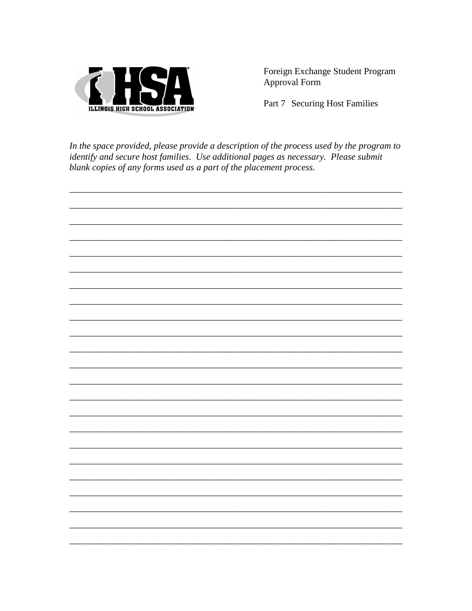

Part 7 Securing Host Families

In the space provided, please provide a description of the process used by the program to identify and secure host families. Use additional pages as necessary. Please submit blank copies of any forms used as a part of the placement process.

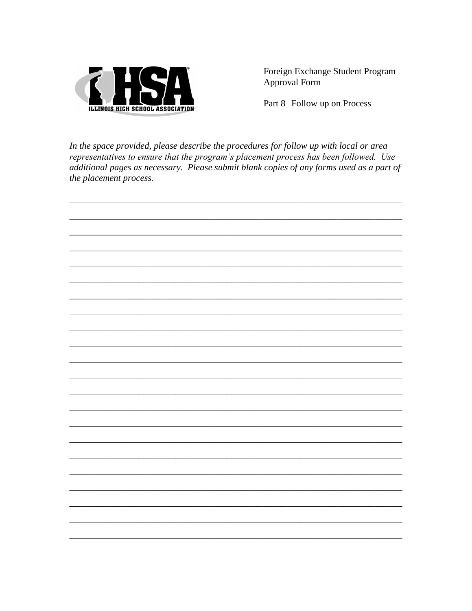

Part 8 Follow up on Process

In the space provided, please describe the procedures for follow up with local or area representatives to ensure that the program's placement process has been followed. Use additional pages as necessary. Please submit blank copies of any forms used as a part of the placement process.